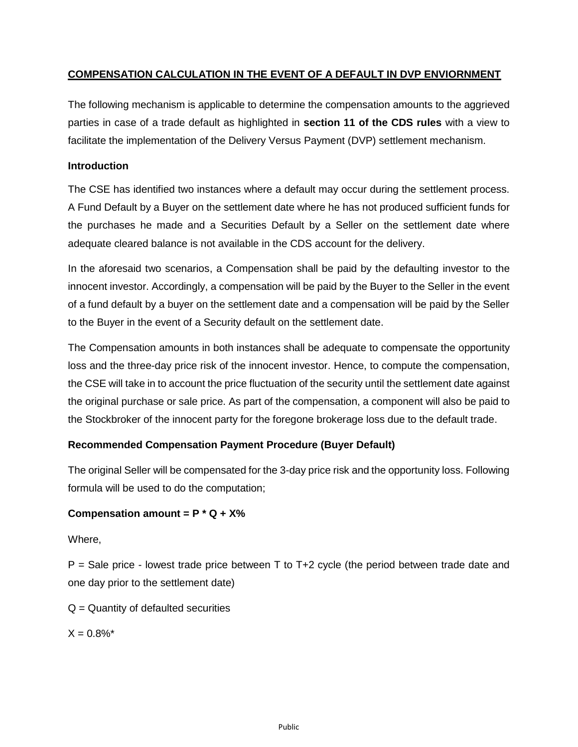# **COMPENSATION CALCULATION IN THE EVENT OF A DEFAULT IN DVP ENVIORNMENT**

The following mechanism is applicable to determine the compensation amounts to the aggrieved parties in case of a trade default as highlighted in **section 11 of the CDS rules** with a view to facilitate the implementation of the Delivery Versus Payment (DVP) settlement mechanism.

### **Introduction**

The CSE has identified two instances where a default may occur during the settlement process. A Fund Default by a Buyer on the settlement date where he has not produced sufficient funds for the purchases he made and a Securities Default by a Seller on the settlement date where adequate cleared balance is not available in the CDS account for the delivery.

In the aforesaid two scenarios, a Compensation shall be paid by the defaulting investor to the innocent investor. Accordingly, a compensation will be paid by the Buyer to the Seller in the event of a fund default by a buyer on the settlement date and a compensation will be paid by the Seller to the Buyer in the event of a Security default on the settlement date.

The Compensation amounts in both instances shall be adequate to compensate the opportunity loss and the three-day price risk of the innocent investor. Hence, to compute the compensation, the CSE will take in to account the price fluctuation of the security until the settlement date against the original purchase or sale price. As part of the compensation, a component will also be paid to the Stockbroker of the innocent party for the foregone brokerage loss due to the default trade.

## **Recommended Compensation Payment Procedure (Buyer Default)**

The original Seller will be compensated for the 3-day price risk and the opportunity loss. Following formula will be used to do the computation;

## **Compensation amount = P \* Q + X%**

Where,

 $P =$  Sale price - lowest trade price between T to T+2 cycle (the period between trade date and one day prior to the settlement date)

 $Q =$  Quantity of defaulted securities

 $X = 0.8\%$ <sup>\*</sup>